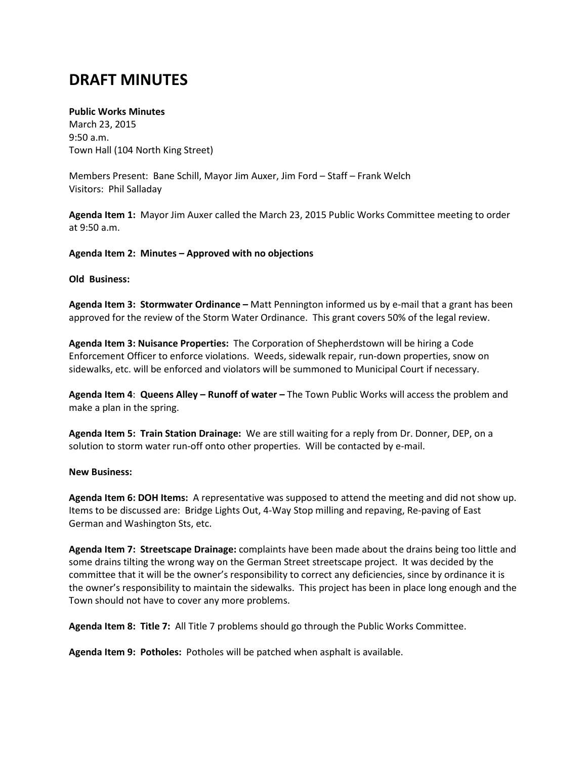# **DRAFT MINUTES**

## **Public Works Minutes**

March 23, 2015 9:50 a.m. Town Hall (104 North King Street)

Members Present: Bane Schill, Mayor Jim Auxer, Jim Ford – Staff – Frank Welch Visitors: Phil Salladay

**Agenda Item 1:** Mayor Jim Auxer called the March 23, 2015 Public Works Committee meeting to order at 9:50 a.m.

**Agenda Item 2: Minutes – Approved with no objections**

### **Old Business:**

**Agenda Item 3: Stormwater Ordinance –** Matt Pennington informed us by e-mail that a grant has been approved for the review of the Storm Water Ordinance. This grant covers 50% of the legal review.

**Agenda Item 3: Nuisance Properties:** The Corporation of Shepherdstown will be hiring a Code Enforcement Officer to enforce violations. Weeds, sidewalk repair, run-down properties, snow on sidewalks, etc. will be enforced and violators will be summoned to Municipal Court if necessary.

**Agenda Item 4**: **Queens Alley – Runoff of water –** The Town Public Works will access the problem and make a plan in the spring.

**Agenda Item 5: Train Station Drainage:** We are still waiting for a reply from Dr. Donner, DEP, on a solution to storm water run-off onto other properties. Will be contacted by e-mail.

#### **New Business:**

**Agenda Item 6: DOH Items:** A representative was supposed to attend the meeting and did not show up. Items to be discussed are: Bridge Lights Out, 4-Way Stop milling and repaving, Re-paving of East German and Washington Sts, etc.

**Agenda Item 7: Streetscape Drainage:** complaints have been made about the drains being too little and some drains tilting the wrong way on the German Street streetscape project. It was decided by the committee that it will be the owner's responsibility to correct any deficiencies, since by ordinance it is the owner's responsibility to maintain the sidewalks. This project has been in place long enough and the Town should not have to cover any more problems.

**Agenda Item 8: Title 7:** All Title 7 problems should go through the Public Works Committee.

**Agenda Item 9: Potholes:** Potholes will be patched when asphalt is available.